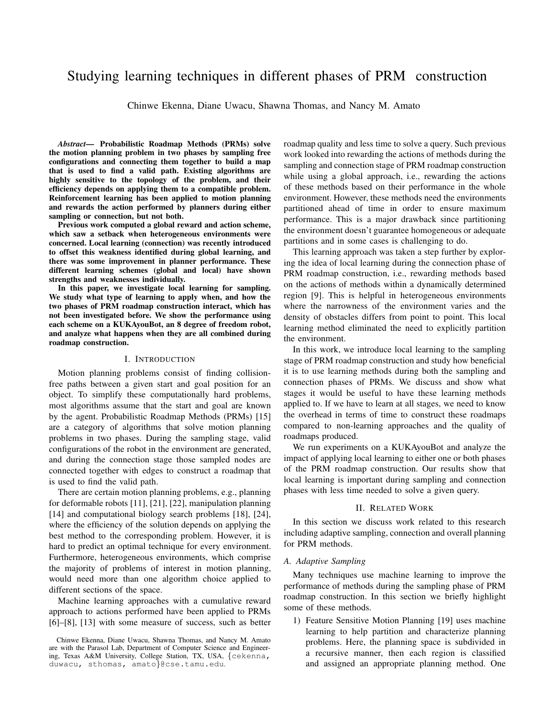# Studying learning techniques in different phases of PRM construction

Chinwe Ekenna, Diane Uwacu, Shawna Thomas, and Nancy M. Amato

*Abstract*— Probabilistic Roadmap Methods (PRMs) solve the motion planning problem in two phases by sampling free configurations and connecting them together to build a map that is used to find a valid path. Existing algorithms are highly sensitive to the topology of the problem, and their efficiency depends on applying them to a compatible problem. Reinforcement learning has been applied to motion planning and rewards the action performed by planners during either sampling or connection, but not both.

Previous work computed a global reward and action scheme, which saw a setback when heterogeneous environments were concerned. Local learning (connection) was recently introduced to offset this weakness identified during global learning, and there was some improvement in planner performance. These different learning schemes (global and local) have shown strengths and weaknesses individually.

In this paper, we investigate local learning for sampling. We study what type of learning to apply when, and how the two phases of PRM roadmap construction interact, which has not been investigated before. We show the performance using each scheme on a KUKAyouBot, an 8 degree of freedom robot, and analyze what happens when they are all combined during roadmap construction.

## I. INTRODUCTION

Motion planning problems consist of finding collisionfree paths between a given start and goal position for an object. To simplify these computationally hard problems, most algorithms assume that the start and goal are known by the agent. Probabilistic Roadmap Methods (PRMs) [15] are a category of algorithms that solve motion planning problems in two phases. During the sampling stage, valid configurations of the robot in the environment are generated, and during the connection stage those sampled nodes are connected together with edges to construct a roadmap that is used to find the valid path.

There are certain motion planning problems, e.g., planning for deformable robots [11], [21], [22], manipulation planning [14] and computational biology search problems [18], [24], where the efficiency of the solution depends on applying the best method to the corresponding problem. However, it is hard to predict an optimal technique for every environment. Furthermore, heterogeneous environments, which comprise the majority of problems of interest in motion planning, would need more than one algorithm choice applied to different sections of the space.

Machine learning approaches with a cumulative reward approach to actions performed have been applied to PRMs [6]–[8], [13] with some measure of success, such as better roadmap quality and less time to solve a query. Such previous work looked into rewarding the actions of methods during the sampling and connection stage of PRM roadmap construction while using a global approach, i.e., rewarding the actions of these methods based on their performance in the whole environment. However, these methods need the environments partitioned ahead of time in order to ensure maximum performance. This is a major drawback since partitioning the environment doesn't guarantee homogeneous or adequate partitions and in some cases is challenging to do.

This learning approach was taken a step further by exploring the idea of local learning during the connection phase of PRM roadmap construction, i.e., rewarding methods based on the actions of methods within a dynamically determined region [9]. This is helpful in heterogeneous environments where the narrowness of the environment varies and the density of obstacles differs from point to point. This local learning method eliminated the need to explicitly partition the environment.

In this work, we introduce local learning to the sampling stage of PRM roadmap construction and study how beneficial it is to use learning methods during both the sampling and connection phases of PRMs. We discuss and show what stages it would be useful to have these learning methods applied to. If we have to learn at all stages, we need to know the overhead in terms of time to construct these roadmaps compared to non-learning approaches and the quality of roadmaps produced.

We run experiments on a KUKAyouBot and analyze the impact of applying local learning to either one or both phases of the PRM roadmap construction. Our results show that local learning is important during sampling and connection phases with less time needed to solve a given query.

# II. RELATED WORK

In this section we discuss work related to this research including adaptive sampling, connection and overall planning for PRM methods.

#### *A. Adaptive Sampling*

Many techniques use machine learning to improve the performance of methods during the sampling phase of PRM roadmap construction. In this section we briefly highlight some of these methods.

1) Feature Sensitive Motion Planning [19] uses machine learning to help partition and characterize planning problems. Here, the planning space is subdivided in a recursive manner, then each region is classified and assigned an appropriate planning method. One

Chinwe Ekenna, Diane Uwacu, Shawna Thomas, and Nancy M. Amato are with the Parasol Lab, Department of Computer Science and Engineering, Texas A&M University, College Station, TX, USA, {cekenna, duwacu, sthomas, amato}@cse.tamu.edu.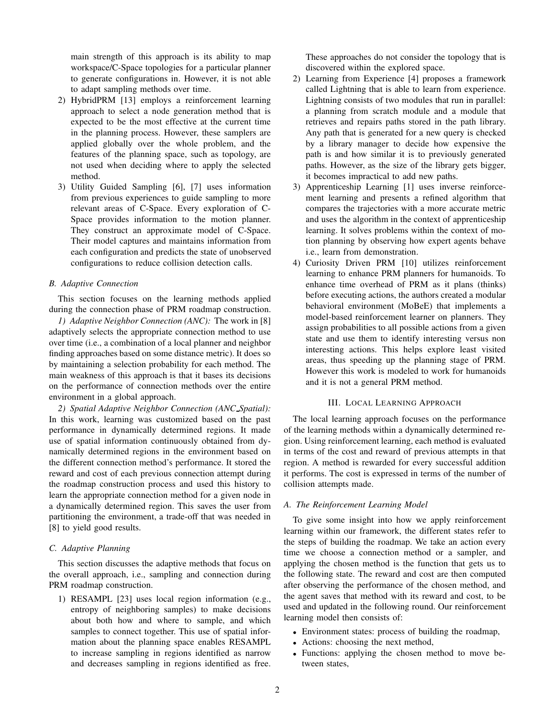main strength of this approach is its ability to map workspace/C-Space topologies for a particular planner to generate configurations in. However, it is not able to adapt sampling methods over time.

- 2) HybridPRM [13] employs a reinforcement learning approach to select a node generation method that is expected to be the most effective at the current time in the planning process. However, these samplers are applied globally over the whole problem, and the features of the planning space, such as topology, are not used when deciding where to apply the selected method.
- 3) Utility Guided Sampling [6], [7] uses information from previous experiences to guide sampling to more relevant areas of C-Space. Every exploration of C-Space provides information to the motion planner. They construct an approximate model of C-Space. Their model captures and maintains information from each configuration and predicts the state of unobserved configurations to reduce collision detection calls.

## *B. Adaptive Connection*

This section focuses on the learning methods applied during the connection phase of PRM roadmap construction.

*1) Adaptive Neighbor Connection (ANC):* The work in [8] adaptively selects the appropriate connection method to use over time (i.e., a combination of a local planner and neighbor finding approaches based on some distance metric). It does so by maintaining a selection probability for each method. The main weakness of this approach is that it bases its decisions on the performance of connection methods over the entire environment in a global approach.

*2) Spatial Adaptive Neighbor Connection (ANC Spatial):* In this work, learning was customized based on the past performance in dynamically determined regions. It made use of spatial information continuously obtained from dynamically determined regions in the environment based on the different connection method's performance. It stored the reward and cost of each previous connection attempt during the roadmap construction process and used this history to learn the appropriate connection method for a given node in a dynamically determined region. This saves the user from partitioning the environment, a trade-off that was needed in [8] to yield good results.

# *C. Adaptive Planning*

This section discusses the adaptive methods that focus on the overall approach, i.e., sampling and connection during PRM roadmap construction.

1) RESAMPL [23] uses local region information (e.g., entropy of neighboring samples) to make decisions about both how and where to sample, and which samples to connect together. This use of spatial information about the planning space enables RESAMPL to increase sampling in regions identified as narrow and decreases sampling in regions identified as free. These approaches do not consider the topology that is discovered within the explored space.

- 2) Learning from Experience [4] proposes a framework called Lightning that is able to learn from experience. Lightning consists of two modules that run in parallel: a planning from scratch module and a module that retrieves and repairs paths stored in the path library. Any path that is generated for a new query is checked by a library manager to decide how expensive the path is and how similar it is to previously generated paths. However, as the size of the library gets bigger, it becomes impractical to add new paths.
- 3) Apprenticeship Learning [1] uses inverse reinforcement learning and presents a refined algorithm that compares the trajectories with a more accurate metric and uses the algorithm in the context of apprenticeship learning. It solves problems within the context of motion planning by observing how expert agents behave i.e., learn from demonstration.
- 4) Curiosity Driven PRM [10] utilizes reinforcement learning to enhance PRM planners for humanoids. To enhance time overhead of PRM as it plans (thinks) before executing actions, the authors created a modular behavioral environment (MoBeE) that implements a model-based reinforcement learner on planners. They assign probabilities to all possible actions from a given state and use them to identify interesting versus non interesting actions. This helps explore least visited areas, thus speeding up the planning stage of PRM. However this work is modeled to work for humanoids and it is not a general PRM method.

## III. LOCAL LEARNING APPROACH

The local learning approach focuses on the performance of the learning methods within a dynamically determined region. Using reinforcement learning, each method is evaluated in terms of the cost and reward of previous attempts in that region. A method is rewarded for every successful addition it performs. The cost is expressed in terms of the number of collision attempts made.

# *A. The Reinforcement Learning Model*

To give some insight into how we apply reinforcement learning within our framework, the different states refer to the steps of building the roadmap. We take an action every time we choose a connection method or a sampler, and applying the chosen method is the function that gets us to the following state. The reward and cost are then computed after observing the performance of the chosen method, and the agent saves that method with its reward and cost, to be used and updated in the following round. Our reinforcement learning model then consists of:

- Environment states: process of building the roadmap,
- Actions: choosing the next method,
- Functions: applying the chosen method to move between states,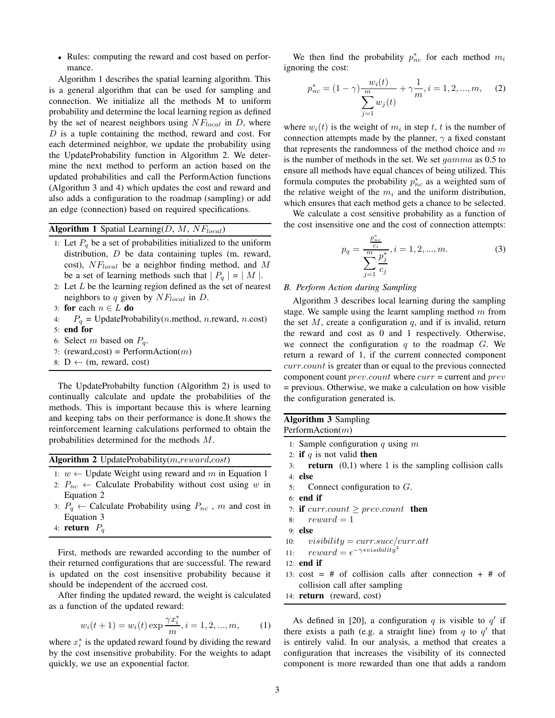• Rules: computing the reward and cost based on performance.

Algorithm 1 describes the spatial learning algorithm. This is a general algorithm that can be used for sampling and connection. We initialize all the methods M to uniform probability and determine the local learning region as defined by the set of nearest neighbors using  $NF_{local}$  in D, where D is a tuple containing the method, reward and cost. For each determined neighbor, we update the probability using the UpdateProbability function in Algorithm 2. We determine the next method to perform an action based on the updated probabilities and call the PerformAction functions (Algorithm 3 and 4) which updates the cost and reward and also adds a configuration to the roadmap (sampling) or add an edge (connection) based on required specifications.

Algorithm 1 Spatial Learning( $D, M, NF_{local}$ )

- 1: Let  $P_q$  be a set of probabilities initialized to the uniform distribution,  $D$  be data containing tuples (m, reward, cost),  $NF_{local}$  be a neighbor finding method, and M be a set of learning methods such that  $|P_q| = |M|$ .
- 2: Let  $L$  be the learning region defined as the set of nearest neighbors to q given by  $NF_{local}$  in D.
- 3: for each  $n \in L$  do
- 4:  $P_q$  = UpdateProbability(*n*.method, *n*.reward, *n*.cost)
- 5: end for
- 6: Select m based on  $P_q$ .
- 7: (reward,cost) = PerformAction $(m)$
- 8:  $D \leftarrow (m, reward, cost)$

The UpdateProbabilty function (Algorithm 2) is used to continually calculate and update the probabilities of the methods. This is important because this is where learning and keeping tabs on their performance is done.It shows the reinforcement learning calculations performed to obtain the probabilities determined for the methods M.

Algorithm 2 UpdateProbability(m,reward,cost)

1:  $w$  ← Update Weight using reward and m in Equation 1

- 2:  $P_{nc} \leftarrow$  Calculate Probability without cost using w in Equation 2
- 3:  $P_q \leftarrow$  Calculate Probability using  $P_{nc}$ , m and cost in Equation 3
- 4: **return**  $P_q$

First, methods are rewarded according to the number of their returned configurations that are successful. The reward is updated on the cost insensitive probability because it should be independent of the accrued cost.

After finding the updated reward, the weight is calculated as a function of the updated reward:

$$
w_i(t+1) = w_i(t) \exp \frac{\gamma x_i^*}{m}, i = 1, 2, ..., m,
$$
 (1)

where  $x_i^*$  is the updated reward found by dividing the reward by the cost insensitive probability. For the weights to adapt quickly, we use an exponential factor.

We then find the probability  $p_{nc}^*$  for each method  $m_i$ ignoring the cost:

$$
p_{nc}^{*} = (1 - \gamma) \frac{w_i(t)}{\sum_{j=1}^{m} w_j(t)} + \gamma \frac{1}{m}, i = 1, 2, ..., m,
$$
 (2)

where  $w_i(t)$  is the weight of  $m_i$  in step t, t is the number of connection attempts made by the planner,  $\gamma$  a fixed constant that represents the randomness of the method choice and  $m$ is the number of methods in the set. We set gamma as 0.5 to ensure all methods have equal chances of being utilized. This formula computes the probability  $p_{nc}^*$  as a weighted sum of the relative weight of the  $m_i$  and the uniform distribution, which ensures that each method gets a chance to be selected.

We calculate a cost sensitive probability as a function of the cost insensitive one and the cost of connection attempts:

$$
p_q = \frac{\frac{p_{nc}^*}{c_i}}{\sum_{j=1}^m \frac{p_j^*}{c_j}}, i = 1, 2, ..., m.
$$
 (3)

## *B. Perform Action during Sampling*

Algorithm 3 describes local learning during the sampling stage. We sample using the learnt sampling method  $m$  from the set  $M$ , create a configuration  $q$ , and if is invalid, return the reward and cost as 0 and 1 respectively. Otherwise, we connect the configuration  $q$  to the roadmap  $G$ . We return a reward of 1, if the current connected component curr.count is greater than or equal to the previous connected component count  $prev.count$  where  $curr = current$  and  $prev$ = previous. Otherwise, we make a calculation on how visible the configuration generated is.

| <b>Algorithm 3 Sampling</b> |  |
|-----------------------------|--|
| PerformAction $(m)$         |  |

- 1: Sample configuration  $q$  using  $m$
- 2: if q is not valid then
- 3: **return**  $(0,1)$  where 1 is the sampling collision calls 4: else
- 5: Connect configuration to G.
- 6: end if
- 7: if  $current \geq prev.count$  then
- 8:  $reward = 1$
- 9: else
- 10:  $visibility = curr.succ/curr.att$
- 11:  $reward = \epsilon^{-\gamma * visibility^{'}2}$
- 12: end if
- 13:  $cost = # of collision calls after connection + # of$ collision call after sampling
- 14: return (reward, cost)

As defined in [20], a configuration q is visible to  $q'$  if there exists a path (e.g. a straight line) from  $q$  to  $q'$  that is entirely valid. In our analysis, a method that creates a configuration that increases the visibility of its connected component is more rewarded than one that adds a random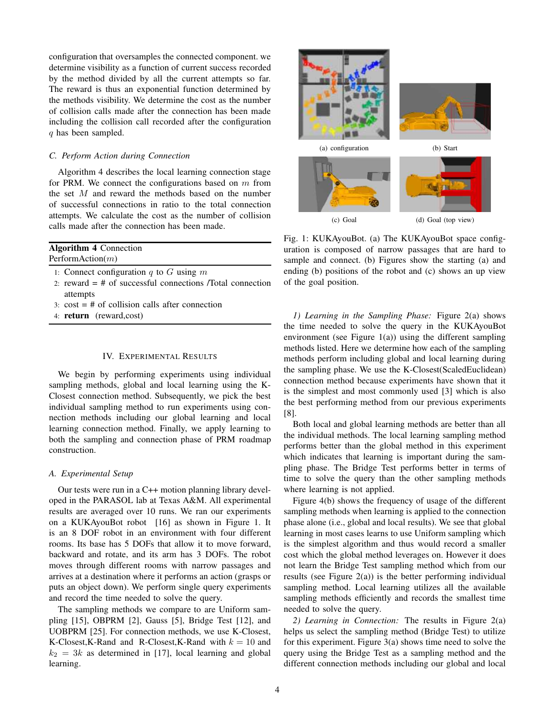configuration that oversamples the connected component. we determine visibility as a function of current success recorded by the method divided by all the current attempts so far. The reward is thus an exponential function determined by the methods visibility. We determine the cost as the number of collision calls made after the connection has been made including the collision call recorded after the configuration q has been sampled.

## *C. Perform Action during Connection*

Algorithm 4 describes the local learning connection stage for PRM. We connect the configurations based on  $m$  from the set M and reward the methods based on the number of successful connections in ratio to the total connection attempts. We calculate the cost as the number of collision calls made after the connection has been made.

| <b>Algorithm 4 Connection</b>                               |
|-------------------------------------------------------------|
| PerformAction $(m)$                                         |
| 1: Connect configuration $q$ to $G$ using $m$               |
| 2: reward $=$ # of successful connections /Total connection |
| attempts                                                    |

- 3:  $cost = # of collision calls after connection$
- 4: return (reward,cost)

#### IV. EXPERIMENTAL RESULTS

We begin by performing experiments using individual sampling methods, global and local learning using the K-Closest connection method. Subsequently, we pick the best individual sampling method to run experiments using connection methods including our global learning and local learning connection method. Finally, we apply learning to both the sampling and connection phase of PRM roadmap construction.

## *A. Experimental Setup*

Our tests were run in a C++ motion planning library developed in the PARASOL lab at Texas A&M. All experimental results are averaged over 10 runs. We ran our experiments on a KUKAyouBot robot [16] as shown in Figure 1. It is an 8 DOF robot in an environment with four different rooms. Its base has 5 DOFs that allow it to move forward, backward and rotate, and its arm has 3 DOFs. The robot moves through different rooms with narrow passages and arrives at a destination where it performs an action (grasps or puts an object down). We perform single query experiments and record the time needed to solve the query.

The sampling methods we compare to are Uniform sampling [15], OBPRM [2], Gauss [5], Bridge Test [12], and UOBPRM [25]. For connection methods, we use K-Closest, K-Closest, K-Rand and R-Closest, K-Rand with  $k = 10$  and  $k_2 = 3k$  as determined in [17], local learning and global learning.



Fig. 1: KUKAyouBot. (a) The KUKAyouBot space configuration is composed of narrow passages that are hard to sample and connect. (b) Figures show the starting (a) and ending (b) positions of the robot and (c) shows an up view of the goal position.

*1) Learning in the Sampling Phase:* Figure 2(a) shows the time needed to solve the query in the KUKAyouBot environment (see Figure  $1(a)$ ) using the different sampling methods listed. Here we determine how each of the sampling methods perform including global and local learning during the sampling phase. We use the K-Closest(ScaledEuclidean) connection method because experiments have shown that it is the simplest and most commonly used [3] which is also the best performing method from our previous experiments [8].

Both local and global learning methods are better than all the individual methods. The local learning sampling method performs better than the global method in this experiment which indicates that learning is important during the sampling phase. The Bridge Test performs better in terms of time to solve the query than the other sampling methods where learning is not applied.

Figure 4(b) shows the frequency of usage of the different sampling methods when learning is applied to the connection phase alone (i.e., global and local results). We see that global learning in most cases learns to use Uniform sampling which is the simplest algorithm and thus would record a smaller cost which the global method leverages on. However it does not learn the Bridge Test sampling method which from our results (see Figure  $2(a)$ ) is the better performing individual sampling method. Local learning utilizes all the available sampling methods efficiently and records the smallest time needed to solve the query.

*2) Learning in Connection:* The results in Figure 2(a) helps us select the sampling method (Bridge Test) to utilize for this experiment. Figure 3(a) shows time need to solve the query using the Bridge Test as a sampling method and the different connection methods including our global and local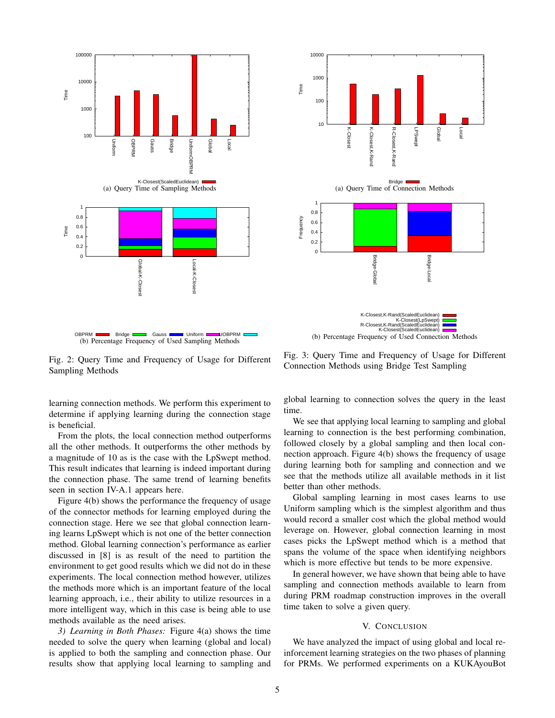



(b) Percentage Frequency of Used Connection Methods

Fig. 2: Query Time and Frequency of Usage for Different Sampling Methods

learning connection methods. We perform this experiment to determine if applying learning during the connection stage is beneficial.

From the plots, the local connection method outperforms all the other methods. It outperforms the other methods by a magnitude of 10 as is the case with the LpSwept method. This result indicates that learning is indeed important during the connection phase. The same trend of learning benefits seen in section IV-A.1 appears here.

Figure 4(b) shows the performance the frequency of usage of the connector methods for learning employed during the connection stage. Here we see that global connection learning learns LpSwept which is not one of the better connection method. Global learning connection's performance as earlier discussed in [8] is as result of the need to partition the environment to get good results which we did not do in these experiments. The local connection method however, utilizes the methods more which is an important feature of the local learning approach, i.e., their ability to utilize resources in a more intelligent way, which in this case is being able to use methods available as the need arises.

*3) Learning in Both Phases:* Figure 4(a) shows the time needed to solve the query when learning (global and local) is applied to both the sampling and connection phase. Our results show that applying local learning to sampling and

Fig. 3: Query Time and Frequency of Usage for Different Connection Methods using Bridge Test Sampling

global learning to connection solves the query in the least time.

We see that applying local learning to sampling and global learning to connection is the best performing combination, followed closely by a global sampling and then local connection approach. Figure 4(b) shows the frequency of usage during learning both for sampling and connection and we see that the methods utilize all available methods in it list better than other methods.

Global sampling learning in most cases learns to use Uniform sampling which is the simplest algorithm and thus would record a smaller cost which the global method would leverage on. However, global connection learning in most cases picks the LpSwept method which is a method that spans the volume of the space when identifying neighbors which is more effective but tends to be more expensive.

In general however, we have shown that being able to have sampling and connection methods available to learn from during PRM roadmap construction improves in the overall time taken to solve a given query.

#### V. CONCLUSION

We have analyzed the impact of using global and local reinforcement learning strategies on the two phases of planning for PRMs. We performed experiments on a KUKAyouBot